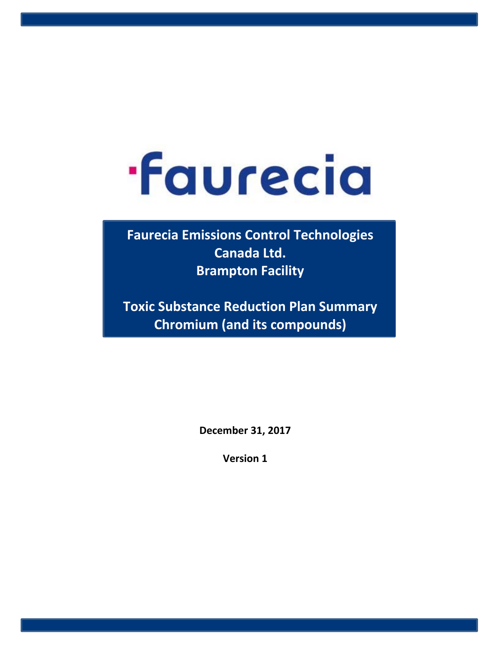# **faurecia**

**Faurecia Emissions Control Technologies Canada Ltd. Brampton Facility**

**Toxic Substance Reduction Plan Summary Chromium (and its compounds)**

**December 31, 2017**

**Version 1**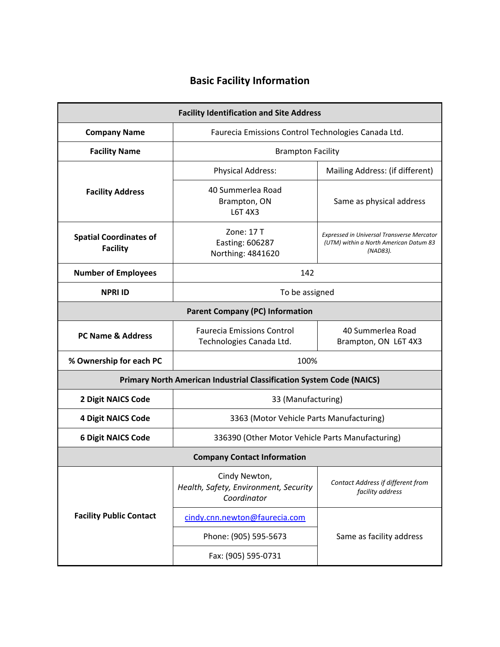# **Basic Facility Information**

| <b>Facility Identification and Site Address</b>                             |                                                                       |                                                                                                         |  |
|-----------------------------------------------------------------------------|-----------------------------------------------------------------------|---------------------------------------------------------------------------------------------------------|--|
| <b>Company Name</b>                                                         | Faurecia Emissions Control Technologies Canada Ltd.                   |                                                                                                         |  |
| <b>Facility Name</b>                                                        | <b>Brampton Facility</b>                                              |                                                                                                         |  |
|                                                                             | <b>Physical Address:</b>                                              | Mailing Address: (if different)                                                                         |  |
| <b>Facility Address</b>                                                     | 40 Summerlea Road<br>Brampton, ON<br>L6T 4X3                          | Same as physical address                                                                                |  |
| <b>Spatial Coordinates of</b><br><b>Facility</b>                            | Zone: 17 T<br>Easting: 606287<br>Northing: 4841620                    | <b>Expressed in Universal Transverse Mercator</b><br>(UTM) within a North American Datum 83<br>(NAD83). |  |
| <b>Number of Employees</b>                                                  | 142                                                                   |                                                                                                         |  |
| <b>NPRI ID</b>                                                              | To be assigned                                                        |                                                                                                         |  |
| <b>Parent Company (PC) Information</b>                                      |                                                                       |                                                                                                         |  |
| <b>PC Name &amp; Address</b>                                                | <b>Faurecia Emissions Control</b><br>Technologies Canada Ltd.         | 40 Summerlea Road<br>Brampton, ON L6T 4X3                                                               |  |
| % Ownership for each PC                                                     | 100%                                                                  |                                                                                                         |  |
| <b>Primary North American Industrial Classification System Code (NAICS)</b> |                                                                       |                                                                                                         |  |
| <b>2 Digit NAICS Code</b>                                                   | 33 (Manufacturing)                                                    |                                                                                                         |  |
| <b>4 Digit NAICS Code</b>                                                   | 3363 (Motor Vehicle Parts Manufacturing)                              |                                                                                                         |  |
| <b>6 Digit NAICS Code</b>                                                   | 336390 (Other Motor Vehicle Parts Manufacturing)                      |                                                                                                         |  |
| <b>Company Contact Information</b>                                          |                                                                       |                                                                                                         |  |
|                                                                             | Cindy Newton,<br>Health, Safety, Environment, Security<br>Coordinator | Contact Address if different from<br>facility address                                                   |  |
| <b>Facility Public Contact</b>                                              | cindy.cnn.newton@faurecia.com                                         |                                                                                                         |  |
|                                                                             | Phone: (905) 595-5673                                                 | Same as facility address                                                                                |  |
|                                                                             | Fax: (905) 595-0731                                                   |                                                                                                         |  |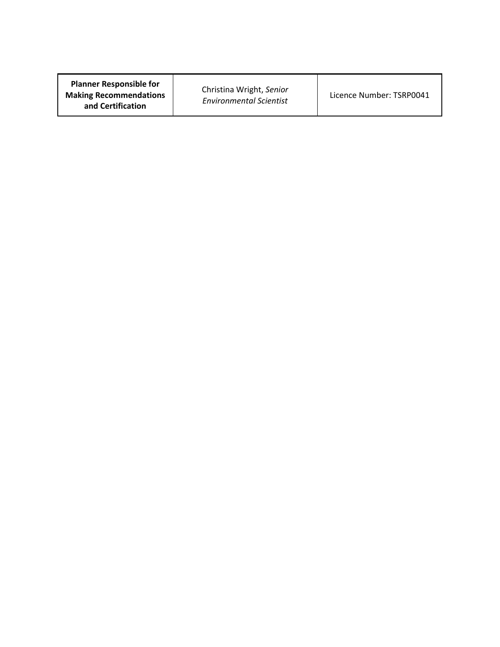| <b>Planner Responsible for</b><br><b>Making Recommendations</b><br>and Certification | Christina Wright, Senior<br><b>Environmental Scientist</b> | Licence Number: TSRP0041 |
|--------------------------------------------------------------------------------------|------------------------------------------------------------|--------------------------|
|--------------------------------------------------------------------------------------|------------------------------------------------------------|--------------------------|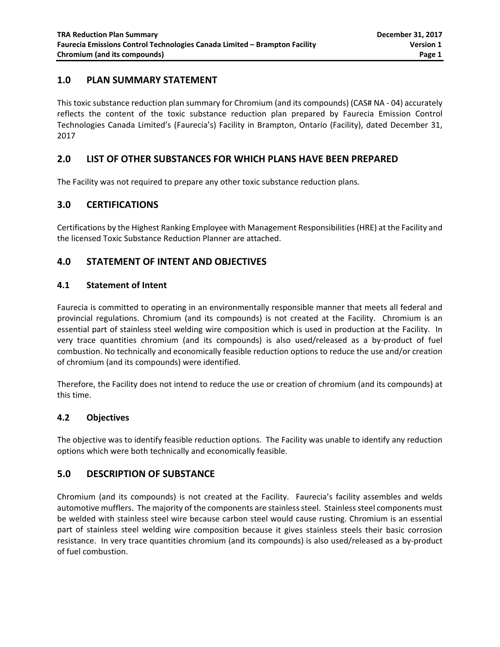# **1.0 PLAN SUMMARY STATEMENT**

This toxic substance reduction plan summary for Chromium (and its compounds) (CAS# NA - 04) accurately reflects the content of the toxic substance reduction plan prepared by Faurecia Emission Control Technologies Canada Limited's (Faurecia's) Facility in Brampton, Ontario (Facility), dated December 31, 2017

## **2.0 LIST OF OTHER SUBSTANCES FOR WHICH PLANS HAVE BEEN PREPARED**

The Facility was not required to prepare any other toxic substance reduction plans.

### **3.0 CERTIFICATIONS**

Certifications by the Highest Ranking Employee with Management Responsibilities (HRE) at the Facility and the licensed Toxic Substance Reduction Planner are attached.

### **4.0 STATEMENT OF INTENT AND OBJECTIVES**

#### **4.1 Statement of Intent**

Faurecia is committed to operating in an environmentally responsible manner that meets all federal and provincial regulations. Chromium (and its compounds) is not created at the Facility. Chromium is an essential part of stainless steel welding wire composition which is used in production at the Facility. In very trace quantities chromium (and its compounds) is also used/released as a by‐product of fuel combustion. No technically and economically feasible reduction options to reduce the use and/or creation of chromium (and its compounds) were identified.

Therefore, the Facility does not intend to reduce the use or creation of chromium (and its compounds) at this time.

#### **4.2 Objectives**

The objective was to identify feasible reduction options. The Facility was unable to identify any reduction options which were both technically and economically feasible.

#### **5.0 DESCRIPTION OF SUBSTANCE**

Chromium (and its compounds) is not created at the Facility. Faurecia's facility assembles and welds automotive mufflers. The majority of the components are stainlesssteel. Stainlesssteel components must be welded with stainless steel wire because carbon steel would cause rusting. Chromium is an essential part of stainless steel welding wire composition because it gives stainless steels their basic corrosion resistance. In very trace quantities chromium (and its compounds) is also used/released as a by‐product of fuel combustion.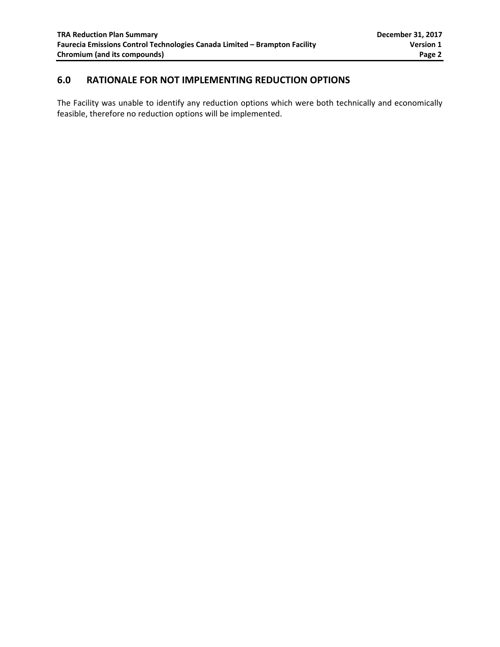## **6.0 RATIONALE FOR NOT IMPLEMENTING REDUCTION OPTIONS**

The Facility was unable to identify any reduction options which were both technically and economically feasible, therefore no reduction options will be implemented.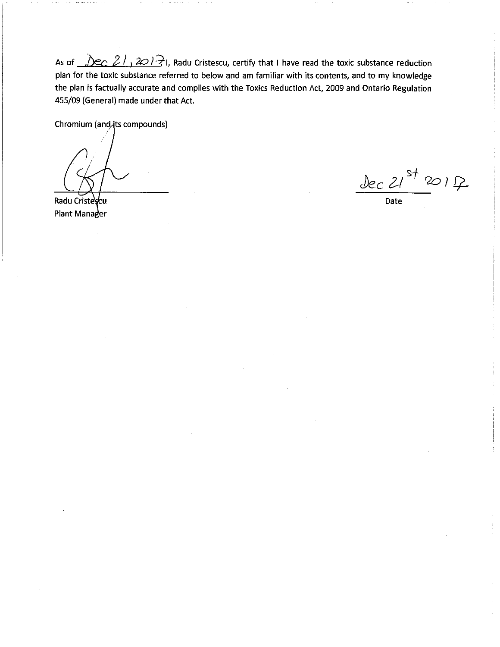As of  $\sqrt{2}$ ,  $\sqrt{2}$ ,  $\sqrt{3}$ , Radu Cristescu, certify that I have read the toxic substance reduction plan for the toxic substance referred to below and am familiar with its contents, and to my knowledge the plan is factually accurate and complies with the Toxics Reduction Act, 2009 and Ontario Regulation 455/09 (General) made under that Act.

Chromium (and its compounds)

Radu Cristescu Plant Manager

 $\frac{\log 21^{57}}{\log 10^{11}}$